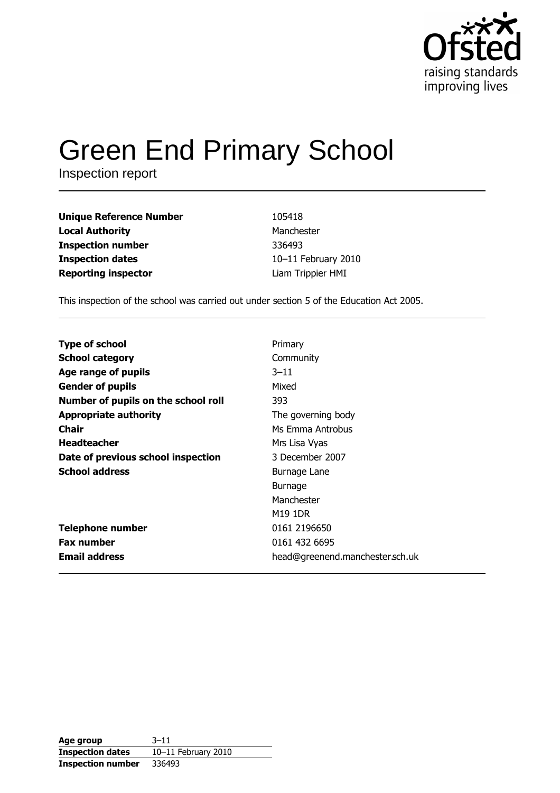

# **Green End Primary School**

Inspection report

| <b>Unique Reference Number</b> | 105418              |
|--------------------------------|---------------------|
| <b>Local Authority</b>         | Manchester          |
| <b>Inspection number</b>       | 336493              |
| <b>Inspection dates</b>        | 10-11 February 2010 |
| <b>Reporting inspector</b>     | Liam Trippier HMI   |

This inspection of the school was carried out under section 5 of the Education Act 2005.

| <b>Type of school</b>               | Primary                         |
|-------------------------------------|---------------------------------|
| <b>School category</b>              | Community                       |
| Age range of pupils                 | $3 - 11$                        |
| <b>Gender of pupils</b>             | Mixed                           |
| Number of pupils on the school roll | 393                             |
| <b>Appropriate authority</b>        | The governing body              |
| Chair                               | Ms Emma Antrobus                |
| <b>Headteacher</b>                  | Mrs Lisa Vyas                   |
| Date of previous school inspection  | 3 December 2007                 |
| <b>School address</b>               | Burnage Lane                    |
|                                     | <b>Burnage</b>                  |
|                                     | Manchester                      |
|                                     | M19 1DR                         |
| <b>Telephone number</b>             | 0161 2196650                    |
| <b>Fax number</b>                   | 0161 432 6695                   |
| <b>Email address</b>                | head@greenend.manchester.sch.uk |

| Age group                | $3 - 11$            |
|--------------------------|---------------------|
| <b>Inspection dates</b>  | 10-11 February 2010 |
| <b>Inspection number</b> | 336493              |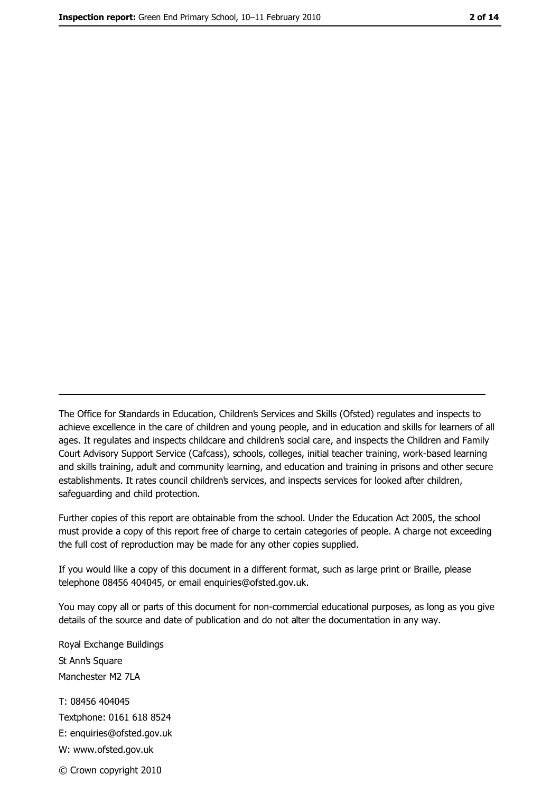The Office for Standards in Education, Children's Services and Skills (Ofsted) regulates and inspects to achieve excellence in the care of children and young people, and in education and skills for learners of all ages. It regulates and inspects childcare and children's social care, and inspects the Children and Family Court Advisory Support Service (Cafcass), schools, colleges, initial teacher training, work-based learning and skills training, adult and community learning, and education and training in prisons and other secure establishments. It rates council children's services, and inspects services for looked after children, safequarding and child protection.

Further copies of this report are obtainable from the school. Under the Education Act 2005, the school must provide a copy of this report free of charge to certain categories of people. A charge not exceeding the full cost of reproduction may be made for any other copies supplied.

If you would like a copy of this document in a different format, such as large print or Braille, please telephone 08456 404045, or email enquiries@ofsted.gov.uk.

You may copy all or parts of this document for non-commercial educational purposes, as long as you give details of the source and date of publication and do not alter the documentation in any way.

Royal Exchange Buildings St Ann's Square Manchester M2 7LA T: 08456 404045 Textphone: 0161 618 8524 E: enquiries@ofsted.gov.uk W: www.ofsted.gov.uk © Crown copyright 2010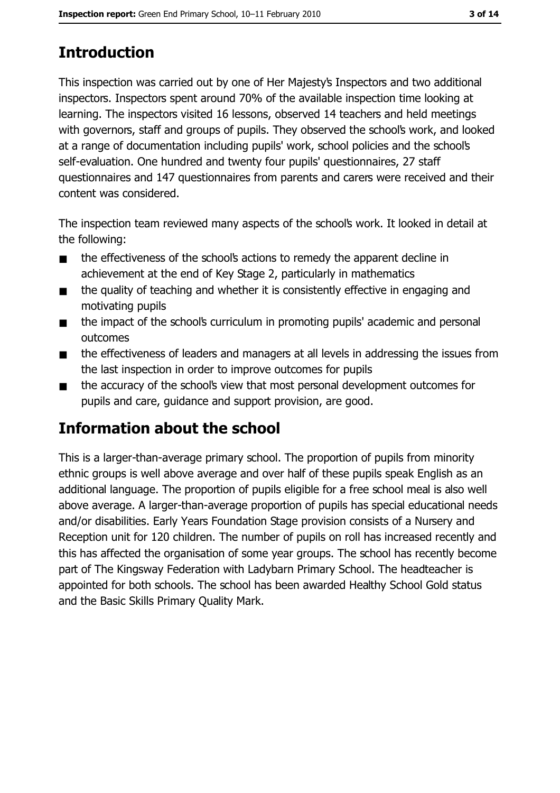# **Introduction**

This inspection was carried out by one of Her Majesty's Inspectors and two additional inspectors. Inspectors spent around 70% of the available inspection time looking at learning. The inspectors visited 16 lessons, observed 14 teachers and held meetings with governors, staff and groups of pupils. They observed the school's work, and looked at a range of documentation including pupils' work, school policies and the school's self-evaluation. One hundred and twenty four pupils' questionnaires, 27 staff questionnaires and 147 questionnaires from parents and carers were received and their content was considered.

The inspection team reviewed many aspects of the school's work. It looked in detail at the following:

- the effectiveness of the school's actions to remedy the apparent decline in  $\blacksquare$ achievement at the end of Key Stage 2, particularly in mathematics
- the quality of teaching and whether it is consistently effective in engaging and  $\blacksquare$ motivating pupils
- the impact of the school's curriculum in promoting pupils' academic and personal  $\blacksquare$ outcomes
- the effectiveness of leaders and managers at all levels in addressing the issues from  $\blacksquare$ the last inspection in order to improve outcomes for pupils
- the accuracy of the school's view that most personal development outcomes for  $\blacksquare$ pupils and care, quidance and support provision, are good.

# Information about the school

This is a larger-than-average primary school. The proportion of pupils from minority ethnic groups is well above average and over half of these pupils speak English as an additional language. The proportion of pupils eligible for a free school meal is also well above average. A larger-than-average proportion of pupils has special educational needs and/or disabilities. Early Years Foundation Stage provision consists of a Nursery and Reception unit for 120 children. The number of pupils on roll has increased recently and this has affected the organisation of some year groups. The school has recently become part of The Kingsway Federation with Ladybarn Primary School. The headteacher is appointed for both schools. The school has been awarded Healthy School Gold status and the Basic Skills Primary Quality Mark.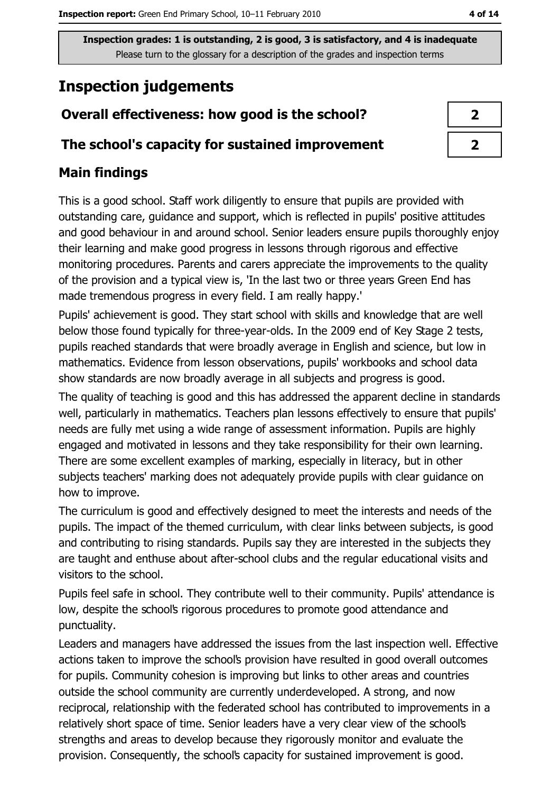## **Inspection judgements**

## Overall effectiveness: how good is the school?

## The school's capacity for sustained improvement

## **Main findings**

This is a good school. Staff work diligently to ensure that pupils are provided with outstanding care, guidance and support, which is reflected in pupils' positive attitudes and good behaviour in and around school. Senior leaders ensure pupils thoroughly enjoy their learning and make good progress in lessons through rigorous and effective monitoring procedures. Parents and carers appreciate the improvements to the quality of the provision and a typical view is, 'In the last two or three years Green End has made tremendous progress in every field. I am really happy.'

Pupils' achievement is good. They start school with skills and knowledge that are well below those found typically for three-year-olds. In the 2009 end of Key Stage 2 tests, pupils reached standards that were broadly average in English and science, but low in mathematics. Evidence from lesson observations, pupils' workbooks and school data show standards are now broadly average in all subjects and progress is good.

The quality of teaching is good and this has addressed the apparent decline in standards well, particularly in mathematics. Teachers plan lessons effectively to ensure that pupils' needs are fully met using a wide range of assessment information. Pupils are highly engaged and motivated in lessons and they take responsibility for their own learning. There are some excellent examples of marking, especially in literacy, but in other subjects teachers' marking does not adequately provide pupils with clear guidance on how to improve.

The curriculum is good and effectively designed to meet the interests and needs of the pupils. The impact of the themed curriculum, with clear links between subjects, is good and contributing to rising standards. Pupils say they are interested in the subjects they are taught and enthuse about after-school clubs and the regular educational visits and visitors to the school.

Pupils feel safe in school. They contribute well to their community. Pupils' attendance is low, despite the school's rigorous procedures to promote good attendance and punctuality.

Leaders and managers have addressed the issues from the last inspection well. Effective actions taken to improve the school's provision have resulted in good overall outcomes for pupils. Community cohesion is improving but links to other areas and countries outside the school community are currently underdeveloped. A strong, and now reciprocal, relationship with the federated school has contributed to improvements in a relatively short space of time. Senior leaders have a very clear view of the school's strengths and areas to develop because they rigorously monitor and evaluate the provision. Consequently, the school's capacity for sustained improvement is good.

| ↗ |  |
|---|--|
| 7 |  |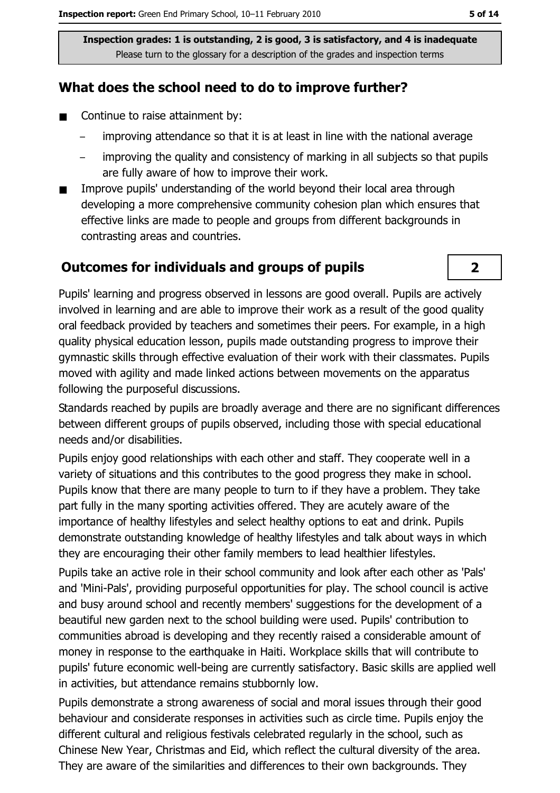## What does the school need to do to improve further?

- $\blacksquare$ Continue to raise attainment by:
	- improving attendance so that it is at least in line with the national average
	- improving the quality and consistency of marking in all subjects so that pupils are fully aware of how to improve their work.
- Improve pupils' understanding of the world beyond their local area through  $\blacksquare$ developing a more comprehensive community cohesion plan which ensures that effective links are made to people and groups from different backgrounds in contrasting areas and countries.

#### **Outcomes for individuals and groups of pupils**



Pupils' learning and progress observed in lessons are good overall. Pupils are actively involved in learning and are able to improve their work as a result of the good quality oral feedback provided by teachers and sometimes their peers. For example, in a high quality physical education lesson, pupils made outstanding progress to improve their gymnastic skills through effective evaluation of their work with their classmates. Pupils moved with agility and made linked actions between movements on the apparatus following the purposeful discussions.

Standards reached by pupils are broadly average and there are no significant differences between different groups of pupils observed, including those with special educational needs and/or disabilities.

Pupils enjoy good relationships with each other and staff. They cooperate well in a variety of situations and this contributes to the good progress they make in school. Pupils know that there are many people to turn to if they have a problem. They take part fully in the many sporting activities offered. They are acutely aware of the importance of healthy lifestyles and select healthy options to eat and drink. Pupils demonstrate outstanding knowledge of healthy lifestyles and talk about ways in which they are encouraging their other family members to lead healthier lifestyles.

Pupils take an active role in their school community and look after each other as 'Pals' and 'Mini-Pals', providing purposeful opportunities for play. The school council is active and busy around school and recently members' suggestions for the development of a beautiful new garden next to the school building were used. Pupils' contribution to communities abroad is developing and they recently raised a considerable amount of money in response to the earthquake in Haiti. Workplace skills that will contribute to pupils' future economic well-being are currently satisfactory. Basic skills are applied well in activities, but attendance remains stubbornly low.

Pupils demonstrate a strong awareness of social and moral issues through their good behaviour and considerate responses in activities such as circle time. Pupils enjoy the different cultural and religious festivals celebrated regularly in the school, such as Chinese New Year, Christmas and Eid, which reflect the cultural diversity of the area. They are aware of the similarities and differences to their own backgrounds. They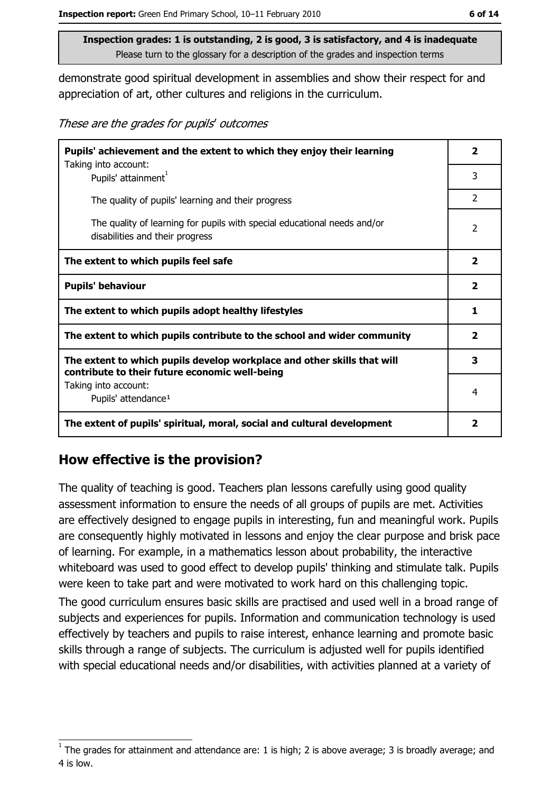demonstrate good spiritual development in assemblies and show their respect for and appreciation of art, other cultures and religions in the curriculum.

These are the grades for pupils' outcomes

| Pupils' achievement and the extent to which they enjoy their learning                                                     |                |
|---------------------------------------------------------------------------------------------------------------------------|----------------|
| Taking into account:<br>Pupils' attainment <sup>1</sup>                                                                   | 3              |
| The quality of pupils' learning and their progress                                                                        | $\overline{2}$ |
| The quality of learning for pupils with special educational needs and/or<br>disabilities and their progress               | 2              |
| The extent to which pupils feel safe                                                                                      | $\mathbf{2}$   |
| <b>Pupils' behaviour</b>                                                                                                  |                |
| The extent to which pupils adopt healthy lifestyles                                                                       | 1              |
| The extent to which pupils contribute to the school and wider community                                                   |                |
| The extent to which pupils develop workplace and other skills that will<br>contribute to their future economic well-being |                |
| Taking into account:<br>Pupils' attendance <sup>1</sup>                                                                   | 4              |
| The extent of pupils' spiritual, moral, social and cultural development                                                   |                |

#### How effective is the provision?

The quality of teaching is good. Teachers plan lessons carefully using good quality assessment information to ensure the needs of all groups of pupils are met. Activities are effectively designed to engage pupils in interesting, fun and meaningful work. Pupils are consequently highly motivated in lessons and enjoy the clear purpose and brisk pace of learning. For example, in a mathematics lesson about probability, the interactive whiteboard was used to good effect to develop pupils' thinking and stimulate talk. Pupils were keen to take part and were motivated to work hard on this challenging topic.

The good curriculum ensures basic skills are practised and used well in a broad range of subjects and experiences for pupils. Information and communication technology is used effectively by teachers and pupils to raise interest, enhance learning and promote basic skills through a range of subjects. The curriculum is adjusted well for pupils identified with special educational needs and/or disabilities, with activities planned at a variety of

The grades for attainment and attendance are: 1 is high; 2 is above average; 3 is broadly average; and 4 is low.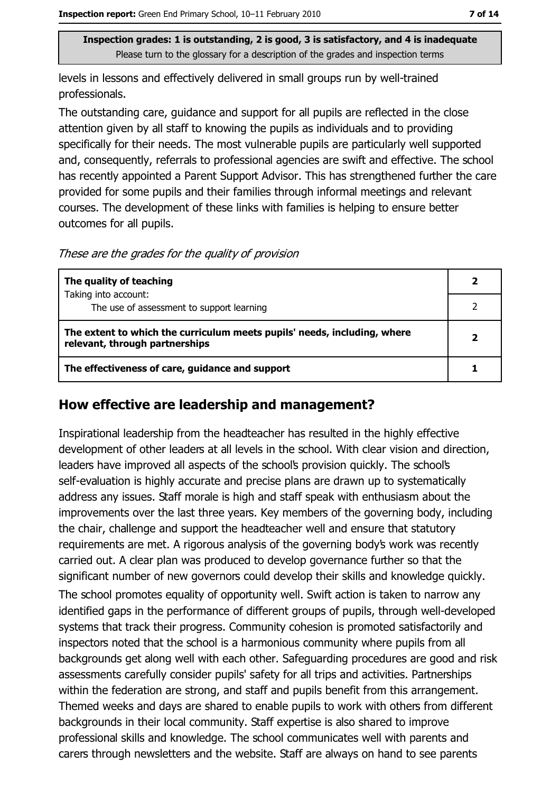levels in lessons and effectively delivered in small groups run by well-trained professionals.

The outstanding care, guidance and support for all pupils are reflected in the close attention given by all staff to knowing the pupils as individuals and to providing specifically for their needs. The most vulnerable pupils are particularly well supported and, consequently, referrals to professional agencies are swift and effective. The school has recently appointed a Parent Support Advisor. This has strengthened further the care provided for some pupils and their families through informal meetings and relevant courses. The development of these links with families is helping to ensure better outcomes for all pupils.

These are the grades for the quality of provision

| The quality of teaching                                                                                    | 2 |
|------------------------------------------------------------------------------------------------------------|---|
| Taking into account:                                                                                       |   |
| The use of assessment to support learning                                                                  |   |
| The extent to which the curriculum meets pupils' needs, including, where<br>relevant, through partnerships | 2 |
| The effectiveness of care, guidance and support                                                            |   |

### How effective are leadership and management?

Inspirational leadership from the headteacher has resulted in the highly effective development of other leaders at all levels in the school. With clear vision and direction, leaders have improved all aspects of the school's provision quickly. The school's self-evaluation is highly accurate and precise plans are drawn up to systematically address any issues. Staff morale is high and staff speak with enthusiasm about the improvements over the last three years. Key members of the governing body, including the chair, challenge and support the headteacher well and ensure that statutory requirements are met. A rigorous analysis of the governing body's work was recently carried out. A clear plan was produced to develop governance further so that the significant number of new governors could develop their skills and knowledge quickly. The school promotes equality of opportunity well. Swift action is taken to narrow any identified gaps in the performance of different groups of pupils, through well-developed systems that track their progress. Community cohesion is promoted satisfactorily and inspectors noted that the school is a harmonious community where pupils from all backgrounds get along well with each other. Safeguarding procedures are good and risk assessments carefully consider pupils' safety for all trips and activities. Partnerships within the federation are strong, and staff and pupils benefit from this arrangement. Themed weeks and days are shared to enable pupils to work with others from different backgrounds in their local community. Staff expertise is also shared to improve professional skills and knowledge. The school communicates well with parents and carers through newsletters and the website. Staff are always on hand to see parents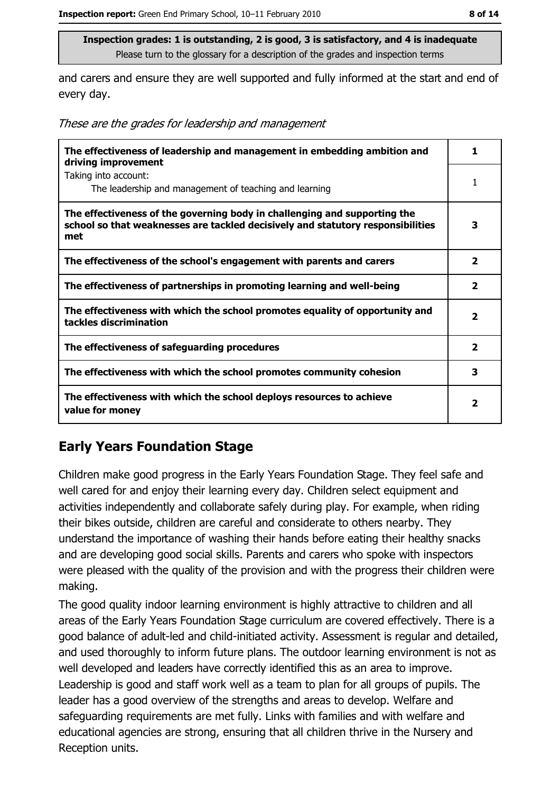and carers and ensure they are well supported and fully informed at the start and end of every day.

These are the grades for leadership and management

| The effectiveness of leadership and management in embedding ambition and<br>driving improvement                                                                     | 1.                      |
|---------------------------------------------------------------------------------------------------------------------------------------------------------------------|-------------------------|
| Taking into account:<br>The leadership and management of teaching and learning                                                                                      | 1                       |
| The effectiveness of the governing body in challenging and supporting the<br>school so that weaknesses are tackled decisively and statutory responsibilities<br>met | 3                       |
| The effectiveness of the school's engagement with parents and carers                                                                                                | $\overline{\mathbf{2}}$ |
| The effectiveness of partnerships in promoting learning and well-being                                                                                              | $\overline{\mathbf{2}}$ |
| The effectiveness with which the school promotes equality of opportunity and<br>tackles discrimination                                                              | $\overline{\mathbf{2}}$ |
| The effectiveness of safeguarding procedures                                                                                                                        | $\overline{\mathbf{2}}$ |
| The effectiveness with which the school promotes community cohesion                                                                                                 | 3                       |
| The effectiveness with which the school deploys resources to achieve<br>value for money                                                                             | $\overline{\mathbf{2}}$ |

## **Early Years Foundation Stage**

Children make good progress in the Early Years Foundation Stage. They feel safe and well cared for and enjoy their learning every day. Children select equipment and activities independently and collaborate safely during play. For example, when riding their bikes outside, children are careful and considerate to others nearby. They understand the importance of washing their hands before eating their healthy snacks and are developing good social skills. Parents and carers who spoke with inspectors were pleased with the quality of the provision and with the progress their children were making.

The good quality indoor learning environment is highly attractive to children and all areas of the Early Years Foundation Stage curriculum are covered effectively. There is a good balance of adult-led and child-initiated activity. Assessment is regular and detailed, and used thoroughly to inform future plans. The outdoor learning environment is not as well developed and leaders have correctly identified this as an area to improve. Leadership is good and staff work well as a team to plan for all groups of pupils. The leader has a good overview of the strengths and areas to develop. Welfare and safeguarding requirements are met fully. Links with families and with welfare and educational agencies are strong, ensuring that all children thrive in the Nursery and Reception units.

8 of 14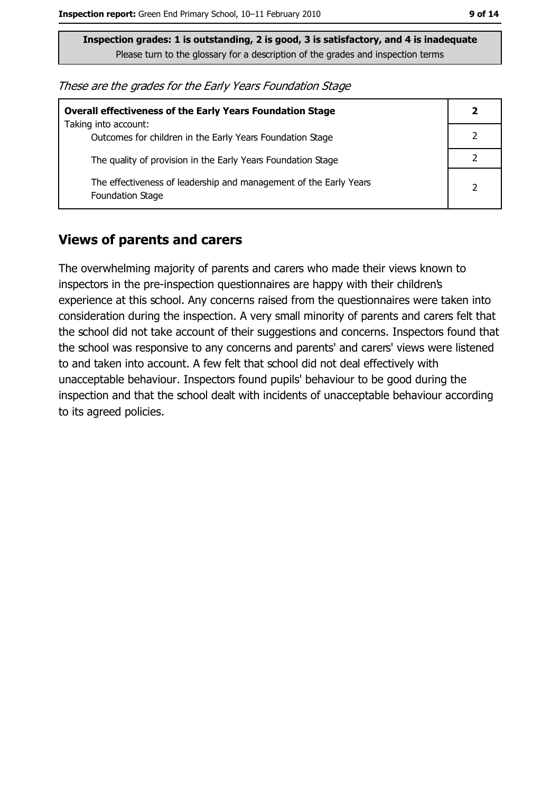These are the grades for the Early Years Foundation Stage

| <b>Overall effectiveness of the Early Years Foundation Stage</b>                      |  |
|---------------------------------------------------------------------------------------|--|
| Taking into account:<br>Outcomes for children in the Early Years Foundation Stage     |  |
| The quality of provision in the Early Years Foundation Stage                          |  |
| The effectiveness of leadership and management of the Early Years<br>Foundation Stage |  |

#### **Views of parents and carers**

The overwhelming majority of parents and carers who made their views known to inspectors in the pre-inspection questionnaires are happy with their children's experience at this school. Any concerns raised from the questionnaires were taken into consideration during the inspection. A very small minority of parents and carers felt that the school did not take account of their suggestions and concerns. Inspectors found that the school was responsive to any concerns and parents' and carers' views were listened to and taken into account. A few felt that school did not deal effectively with unacceptable behaviour. Inspectors found pupils' behaviour to be good during the inspection and that the school dealt with incidents of unacceptable behaviour according to its agreed policies.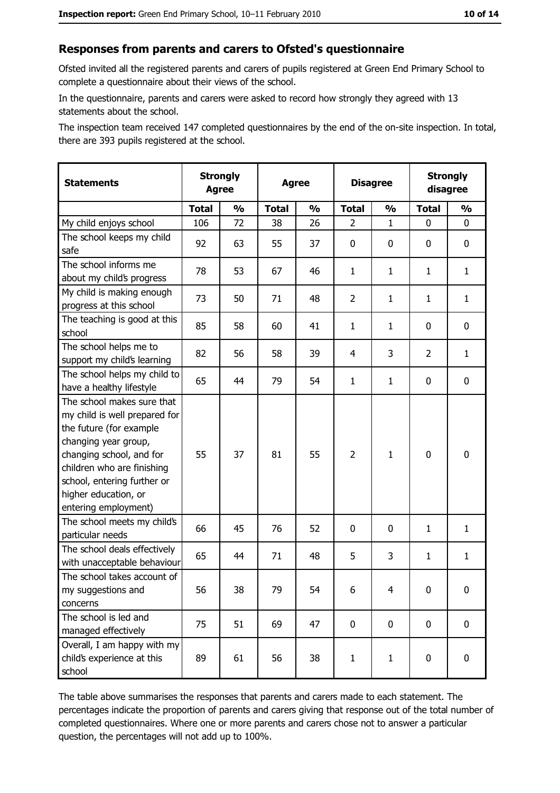#### Responses from parents and carers to Ofsted's questionnaire

Ofsted invited all the registered parents and carers of pupils registered at Green End Primary School to complete a questionnaire about their views of the school.

In the questionnaire, parents and carers were asked to record how strongly they agreed with 13 statements about the school.

The inspection team received 147 completed questionnaires by the end of the on-site inspection. In total, there are 393 pupils registered at the school.

| <b>Statements</b>                                                                                                                                                                                                                                       | <b>Strongly</b><br><b>Agree</b> |               | <b>Agree</b> |               |                | <b>Disagree</b> |                | <b>Strongly</b><br>disagree |  |
|---------------------------------------------------------------------------------------------------------------------------------------------------------------------------------------------------------------------------------------------------------|---------------------------------|---------------|--------------|---------------|----------------|-----------------|----------------|-----------------------------|--|
|                                                                                                                                                                                                                                                         | <b>Total</b>                    | $\frac{1}{2}$ | <b>Total</b> | $\frac{1}{2}$ | <b>Total</b>   | $\frac{1}{2}$   | <b>Total</b>   | $\frac{1}{2}$               |  |
| My child enjoys school                                                                                                                                                                                                                                  | 106                             | 72            | 38           | 26            | 2              | $\mathbf 1$     | $\Omega$       | 0                           |  |
| The school keeps my child<br>safe                                                                                                                                                                                                                       | 92                              | 63            | 55           | 37            | 0              | 0               | 0              | 0                           |  |
| The school informs me<br>about my child's progress                                                                                                                                                                                                      | 78                              | 53            | 67           | 46            | $\mathbf{1}$   | $\mathbf{1}$    | $\mathbf{1}$   | $\mathbf{1}$                |  |
| My child is making enough<br>progress at this school                                                                                                                                                                                                    | 73                              | 50            | 71           | 48            | $\overline{2}$ | $\mathbf{1}$    | 1              | $\mathbf{1}$                |  |
| The teaching is good at this<br>school                                                                                                                                                                                                                  | 85                              | 58            | 60           | 41            | $\mathbf{1}$   | $\mathbf{1}$    | 0              | 0                           |  |
| The school helps me to<br>support my child's learning                                                                                                                                                                                                   | 82                              | 56            | 58           | 39            | $\overline{4}$ | 3               | $\overline{2}$ | $\mathbf{1}$                |  |
| The school helps my child to<br>have a healthy lifestyle                                                                                                                                                                                                | 65                              | 44            | 79           | 54            | $\mathbf{1}$   | $\mathbf{1}$    | 0              | 0                           |  |
| The school makes sure that<br>my child is well prepared for<br>the future (for example<br>changing year group,<br>changing school, and for<br>children who are finishing<br>school, entering further or<br>higher education, or<br>entering employment) | 55                              | 37            | 81           | 55            | $\overline{2}$ | 1               | $\mathbf 0$    | $\mathbf 0$                 |  |
| The school meets my child's<br>particular needs                                                                                                                                                                                                         | 66                              | 45            | 76           | 52            | 0              | 0               | $\mathbf{1}$   | $\mathbf{1}$                |  |
| The school deals effectively<br>with unacceptable behaviour                                                                                                                                                                                             | 65                              | 44            | 71           | 48            | 5              | 3               | 1              | $\mathbf{1}$                |  |
| The school takes account of<br>my suggestions and<br>concerns                                                                                                                                                                                           | 56                              | 38            | 79           | 54            | 6              | 4               | 0              | 0                           |  |
| The school is led and<br>managed effectively                                                                                                                                                                                                            | 75                              | 51            | 69           | 47            | $\mathbf 0$    | 0               | $\bf{0}$       | $\mathbf 0$                 |  |
| Overall, I am happy with my<br>child's experience at this<br>school                                                                                                                                                                                     | 89                              | 61            | 56           | 38            | $\mathbf{1}$   | $\mathbf{1}$    | $\mathbf 0$    | $\mathbf 0$                 |  |

The table above summarises the responses that parents and carers made to each statement. The percentages indicate the proportion of parents and carers giving that response out of the total number of completed questionnaires. Where one or more parents and carers chose not to answer a particular question, the percentages will not add up to 100%.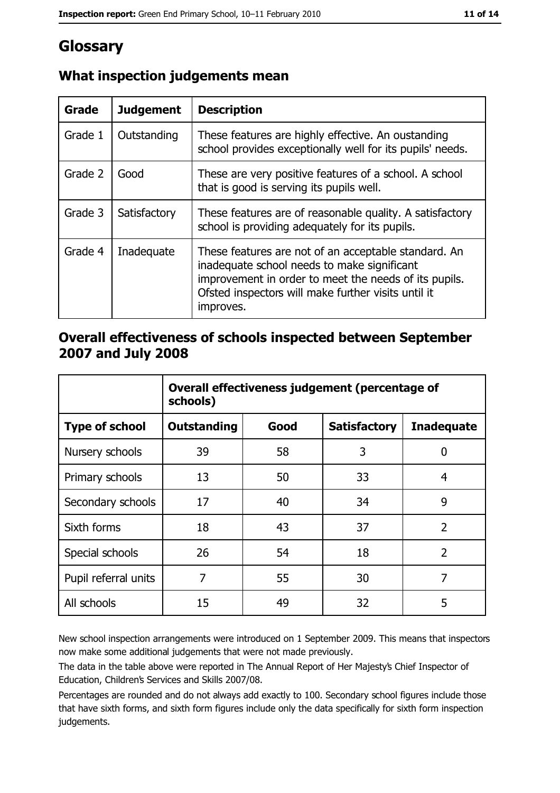# Glossary

| Grade   | <b>Judgement</b> | <b>Description</b>                                                                                                                                                                                                               |
|---------|------------------|----------------------------------------------------------------------------------------------------------------------------------------------------------------------------------------------------------------------------------|
| Grade 1 | Outstanding      | These features are highly effective. An oustanding<br>school provides exceptionally well for its pupils' needs.                                                                                                                  |
| Grade 2 | Good             | These are very positive features of a school. A school<br>that is good is serving its pupils well.                                                                                                                               |
| Grade 3 | Satisfactory     | These features are of reasonable quality. A satisfactory<br>school is providing adequately for its pupils.                                                                                                                       |
| Grade 4 | Inadequate       | These features are not of an acceptable standard. An<br>inadequate school needs to make significant<br>improvement in order to meet the needs of its pupils.<br>Ofsted inspectors will make further visits until it<br>improves. |

## What inspection judgements mean

## Overall effectiveness of schools inspected between September 2007 and July 2008

|                       | Overall effectiveness judgement (percentage of<br>schools) |      |                     |                   |
|-----------------------|------------------------------------------------------------|------|---------------------|-------------------|
| <b>Type of school</b> | <b>Outstanding</b>                                         | Good | <b>Satisfactory</b> | <b>Inadequate</b> |
| Nursery schools       | 39                                                         | 58   | 3                   | 0                 |
| Primary schools       | 13                                                         | 50   | 33                  | 4                 |
| Secondary schools     | 17                                                         | 40   | 34                  | 9                 |
| Sixth forms           | 18                                                         | 43   | 37                  | $\overline{2}$    |
| Special schools       | 26                                                         | 54   | 18                  | $\overline{2}$    |
| Pupil referral units  | 7                                                          | 55   | 30                  | 7                 |
| All schools           | 15                                                         | 49   | 32                  | 5                 |

New school inspection arrangements were introduced on 1 September 2009. This means that inspectors now make some additional judgements that were not made previously.

The data in the table above were reported in The Annual Report of Her Majesty's Chief Inspector of Education, Children's Services and Skills 2007/08.

Percentages are rounded and do not always add exactly to 100. Secondary school figures include those that have sixth forms, and sixth form figures include only the data specifically for sixth form inspection judgements.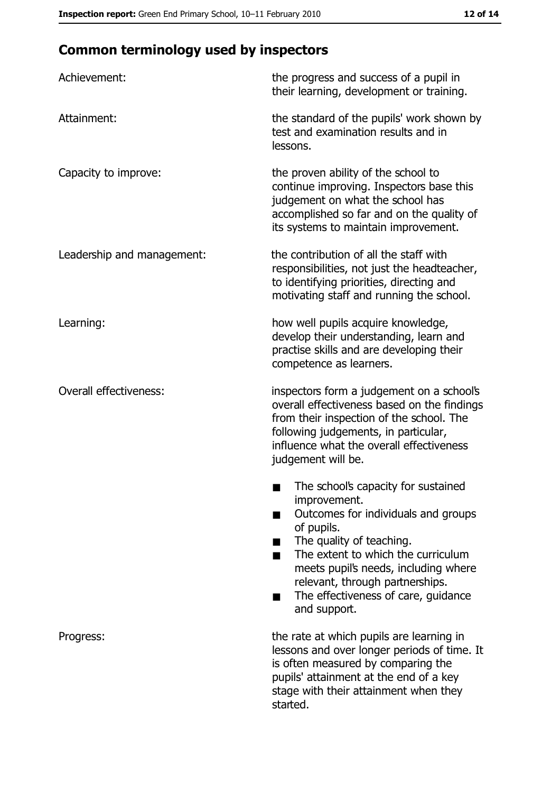# **Common terminology used by inspectors**

| Achievement:                  | the progress and success of a pupil in<br>their learning, development or training.                                                                                                                                                                                                                           |
|-------------------------------|--------------------------------------------------------------------------------------------------------------------------------------------------------------------------------------------------------------------------------------------------------------------------------------------------------------|
| Attainment:                   | the standard of the pupils' work shown by<br>test and examination results and in<br>lessons.                                                                                                                                                                                                                 |
| Capacity to improve:          | the proven ability of the school to<br>continue improving. Inspectors base this<br>judgement on what the school has<br>accomplished so far and on the quality of<br>its systems to maintain improvement.                                                                                                     |
| Leadership and management:    | the contribution of all the staff with<br>responsibilities, not just the headteacher,<br>to identifying priorities, directing and<br>motivating staff and running the school.                                                                                                                                |
| Learning:                     | how well pupils acquire knowledge,<br>develop their understanding, learn and<br>practise skills and are developing their<br>competence as learners.                                                                                                                                                          |
| <b>Overall effectiveness:</b> | inspectors form a judgement on a school's<br>overall effectiveness based on the findings<br>from their inspection of the school. The<br>following judgements, in particular,<br>influence what the overall effectiveness<br>judgement will be.                                                               |
|                               | The school's capacity for sustained<br>improvement.<br>Outcomes for individuals and groups<br>of pupils.<br>The quality of teaching.<br>The extent to which the curriculum<br>meets pupil's needs, including where<br>relevant, through partnerships.<br>The effectiveness of care, guidance<br>and support. |
| Progress:                     | the rate at which pupils are learning in<br>lessons and over longer periods of time. It<br>is often measured by comparing the<br>pupils' attainment at the end of a key<br>stage with their attainment when they<br>started.                                                                                 |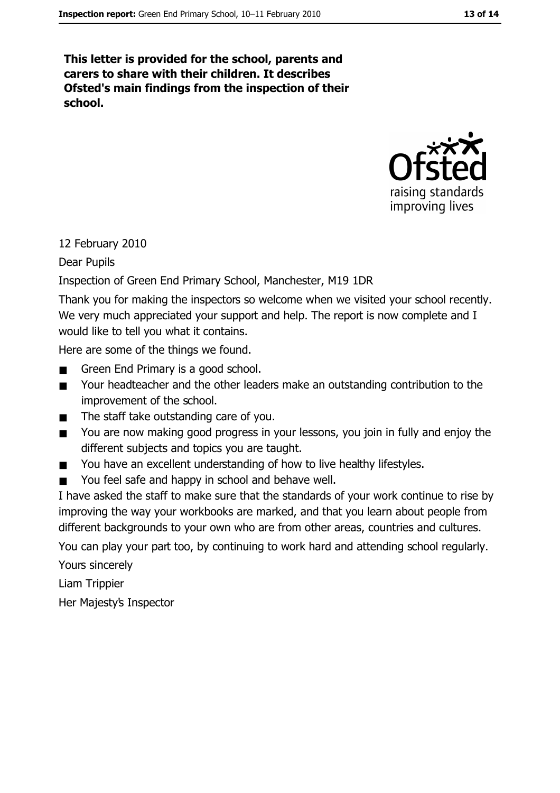This letter is provided for the school, parents and carers to share with their children. It describes Ofsted's main findings from the inspection of their school.



#### 12 February 2010

Dear Pupils

#### Inspection of Green End Primary School, Manchester, M19 1DR

Thank you for making the inspectors so welcome when we visited your school recently. We very much appreciated your support and help. The report is now complete and I would like to tell you what it contains.

Here are some of the things we found.

- Green End Primary is a good school.  $\blacksquare$
- Your headteacher and the other leaders make an outstanding contribution to the  $\blacksquare$ improvement of the school.
- The staff take outstanding care of you.  $\blacksquare$
- You are now making good progress in your lessons, you join in fully and enjoy the  $\blacksquare$ different subjects and topics you are taught.
- You have an excellent understanding of how to live healthy lifestyles.  $\blacksquare$
- You feel safe and happy in school and behave well.  $\blacksquare$

I have asked the staff to make sure that the standards of your work continue to rise by improving the way your workbooks are marked, and that you learn about people from different backgrounds to your own who are from other areas, countries and cultures. You can play your part too, by continuing to work hard and attending school regularly.

Yours sincerely

Liam Trippier

Her Majesty's Inspector